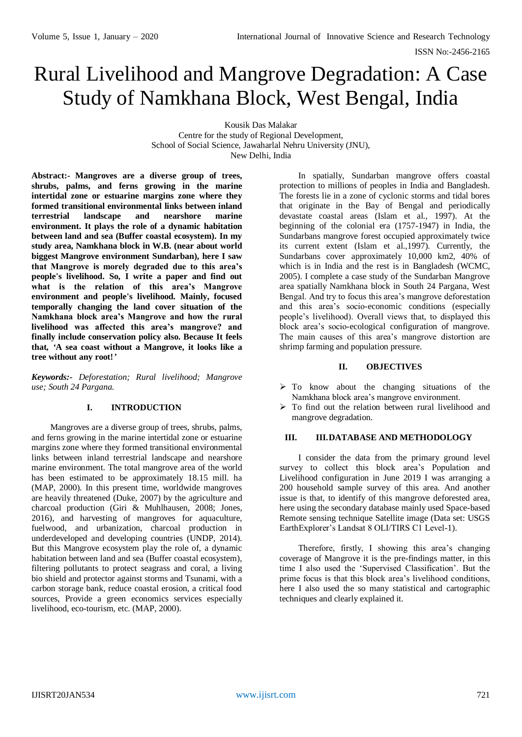ISSN No:-2456-2165

# Rural Livelihood and Mangrove Degradation: A Case Study of Namkhana Block, West Bengal, India

Kousik Das Malakar

Centre for the study of Regional Development, School of Social Science, Jawaharlal Nehru University (JNU), New Delhi, India

**Abstract:- Mangroves are a diverse group of trees, shrubs, palms, and ferns growing in the marine intertidal zone or estuarine margins zone where they formed transitional environmental links between inland terrestrial landscape and nearshore marine environment. It plays the role of a dynamic habitation between land and sea (Buffer coastal ecosystem). In my study area, Namkhana block in W.B. (near about world biggest Mangrove environment Sundarban), here I saw that Mangrove is morely degraded due to this area's people's livelihood. So, I write a paper and find out what is the relation of this area's Mangrove environment and people's livelihood. Mainly, focused temporally changing the land cover situation of the Namkhana block area's Mangrove and how the rural livelihood was affected this area's mangrove? and finally include conservation policy also. Because It feels that***, '***A sea coast without a Mangrove, it looks like a tree without any root!***'*

*Keywords:- Deforestation; Rural livelihood; Mangrove use; South 24 Pargana.*

## **I. INTRODUCTION**

Mangroves are a diverse group of trees, shrubs, palms, and ferns growing in the marine intertidal zone or estuarine margins zone where they formed transitional environmental links between inland terrestrial landscape and nearshore marine environment. The total mangrove area of the world has been estimated to be approximately 18.15 mill. ha (MAP, 2000). In this present time, worldwide mangroves are heavily threatened (Duke, 2007) by the agriculture and charcoal production (Giri & Muhlhausen, 2008; Jones, 2016), and harvesting of mangroves for aquaculture, fuelwood, and urbanization, charcoal production in underdeveloped and developing countries (UNDP, 2014). But this Mangrove ecosystem play the role of, a dynamic habitation between land and sea (Buffer coastal ecosystem), filtering pollutants to protect seagrass and coral, a living bio shield and protector against storms and Tsunami, with a carbon storage bank, reduce coastal erosion, a critical food sources, Provide a green economics services especially livelihood, eco-tourism, etc. (MAP, 2000).

In spatially, Sundarban mangrove offers coastal protection to millions of peoples in India and Bangladesh. The forests lie in a zone of cyclonic storms and tidal bores that originate in the Bay of Bengal and periodically devastate coastal areas (Islam et al., 1997). At the beginning of the colonial era (1757-1947) in India, the Sundarbans mangrove forest occupied approximately twice its current extent (Islam et al.,1997). Currently, the Sundarbans cover approximately 10,000 km2, 40% of which is in India and the rest is in Bangladesh (WCMC, 2005). I complete a case study of the Sundarban Mangrove area spatially Namkhana block in South 24 Pargana, West Bengal. And try to focus this area's mangrove deforestation and this area's socio-economic conditions (especially people's livelihood). Overall views that, to displayed this block area's socio-ecological configuration of mangrove. The main causes of this area's mangrove distortion are shrimp farming and population pressure.

#### **II. OBJECTIVES**

- $\triangleright$  To know about the changing situations of the Namkhana block area's mangrove environment.
- To find out the relation between rural livelihood and mangrove degradation.

#### **III. III.DATABASE AND METHODOLOGY**

I consider the data from the primary ground level survey to collect this block area's Population and Livelihood configuration in June 2019 I was arranging a 200 household sample survey of this area. And another issue is that, to identify of this mangrove deforested area, here using the secondary database mainly used Space-based Remote sensing technique Satellite image (Data set: USGS EarthExplorer's Landsat 8 OLI/TIRS C1 Level-1).

Therefore, firstly, I showing this area's changing coverage of Mangrove it is the pre-findings matter, in this time I also used the 'Supervised Classification'. But the prime focus is that this block area's livelihood conditions, here I also used the so many statistical and cartographic techniques and clearly explained it.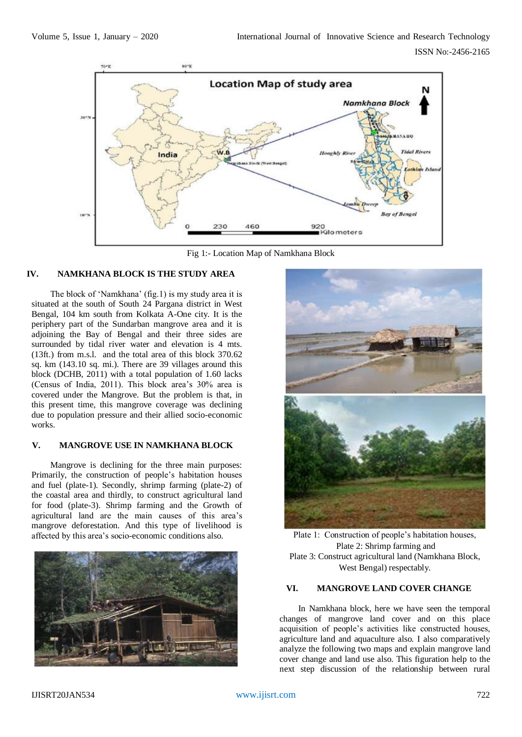

Fig 1:- Location Map of Namkhana Block

## **IV. NAMKHANA BLOCK IS THE STUDY AREA**

The block of 'Namkhana' (fig.1) is my study area it is situated at the south of South 24 Pargana district in West Bengal, 104 km south from Kolkata A-One city. It is the periphery part of the Sundarban mangrove area and it is adjoining the Bay of Bengal and their three sides are surrounded by tidal river water and elevation is 4 mts. (13ft.) from m.s.l. and the total area of this block 370.62 sq. km (143.10 sq. mi.). There are 39 villages around this block (DCHB, 2011) with a total population of 1.60 lacks (Census of India, 2011). This block area's 30% area is covered under the Mangrove. But the problem is that, in this present time, this mangrove coverage was declining due to population pressure and their allied socio-economic works.

## **V. MANGROVE USE IN NAMKHANA BLOCK**

Mangrove is declining for the three main purposes: Primarily, the construction of people's habitation houses and fuel (plate-1). Secondly, shrimp farming (plate-2) of the coastal area and thirdly, to construct agricultural land for food (plate-3). Shrimp farming and the Growth of agricultural land are the main causes of this area's mangrove deforestation. And this type of livelihood is affected by this area's socio-economic conditions also. Plate 1: Construction of people's habitation houses,





Plate 2: Shrimp farming and Plate 3: Construct agricultural land (Namkhana Block, West Bengal) respectably.

## **VI. MANGROVE LAND COVER CHANGE**

In Namkhana block, here we have seen the temporal changes of mangrove land cover and on this place acquisition of people's activities like constructed houses, agriculture land and aquaculture also. I also comparatively analyze the following two maps and explain mangrove land cover change and land use also. This figuration help to the next step discussion of the relationship between rural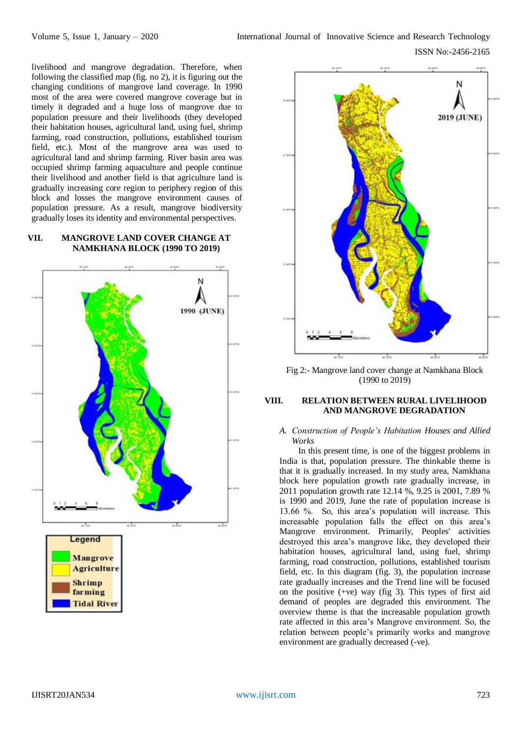livelihood and mangrove degradation. Therefore, when following the classified map (fig. no 2), it is figuring out the changing conditions of mangrove land coverage. In 1990 most of the area were covered mangrove coverage but in timely it degraded and a huge loss of mangrove due to population pressure and their livelihoods (they developed their habitation houses, agricultural land, using fuel, shrimp farming, road construction, pollutions, established tourism field, etc.). Most of the mangrove area was used to agricultural land and shrimp farming. River basin area was occupied shrimp farming aquaculture and people continue their livelihood and another field is that agriculture land is gradually increasing core region to periphery region of this block and losses the mangrove environment causes of population pressure. As a result, mangrove biodiversity gradually loses its identity and environmental perspectives.

## **VII. MANGROVE LAND COVER CHANGE AT NAMKHANA BLOCK (1990 TO 2019)**





Fig 2:- Mangrove land cover change at Namkhana Block (1990 to 2019)

## **VIII. RELATION BETWEEN RURAL LIVELIHOOD AND MANGROVE DEGRADATION**

#### *A. Construction of People's Habitation Houses and Allied Works*

In this present time, is one of the biggest problems in India is that, population pressure. The thinkable theme is that it is gradually increased. In my study area, Namkhana block here population growth rate gradually increase, in 2011 population growth rate 12.14 %, 9.25 is 2001, 7.89 % is 1990 and 2019, June the rate of population increase is 13.66 %. So, this area's population will increase. This increasable population falls the effect on this area's Mangrove environment. Primarily, Peoples' activities destroyed this area's mangrove like, they developed their habitation houses, agricultural land, using fuel, shrimp farming, road construction, pollutions, established tourism field, etc. In this diagram (fig. 3), the population increase rate gradually increases and the Trend line will be focused on the positive  $(+ve)$  way (fig 3). This types of first aid demand of peoples are degraded this environment. The overview theme is that the increasable population growth rate affected in this area's Mangrove environment. So, the relation between people's primarily works and mangrove environment are gradually decreased (-ve).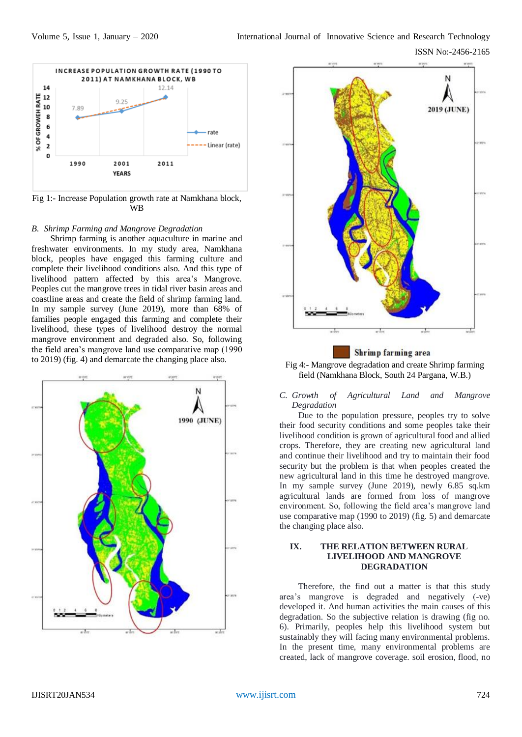ISSN No:-2456-2165



Fig 1:- Increase Population growth rate at Namkhana block, WB

#### *B. Shrimp Farming and Mangrove Degradation*

Shrimp farming is another aquaculture in marine and freshwater environments. In my study area, Namkhana block, peoples have engaged this farming culture and complete their livelihood conditions also. And this type of livelihood pattern affected by this area's Mangrove. Peoples cut the mangrove trees in tidal river basin areas and coastline areas and create the field of shrimp farming land. In my sample survey (June 2019), more than 68% of families people engaged this farming and complete their livelihood, these types of livelihood destroy the normal mangrove environment and degraded also. So, following the field area's mangrove land use comparative map (1990 to 2019) (fig. 4) and demarcate the changing place also.<br>Fig 4:- Mangrove degradation and create Shrimp farming area





field (Namkhana Block, South 24 Pargana, W.B.)

*C. Growth of Agricultural Land and Mangrove Degradation*

Due to the population pressure, peoples try to solve their food security conditions and some peoples take their livelihood condition is grown of agricultural food and allied crops. Therefore, they are creating new agricultural land and continue their livelihood and try to maintain their food security but the problem is that when peoples created the new agricultural land in this time he destroyed mangrove. In my sample survey (June 2019), newly 6.85 sq.km agricultural lands are formed from loss of mangrove environment. So, following the field area's mangrove land use comparative map (1990 to 2019) (fig. 5) and demarcate the changing place also.

#### **IX. THE RELATION BETWEEN RURAL LIVELIHOOD AND MANGROVE DEGRADATION**

Therefore, the find out a matter is that this study area's mangrove is degraded and negatively (-ve) developed it. And human activities the main causes of this degradation. So the subjective relation is drawing (fig no. 6). Primarily, peoples help this livelihood system but sustainably they will facing many environmental problems. In the present time, many environmental problems are created, lack of mangrove coverage. soil erosion, flood, no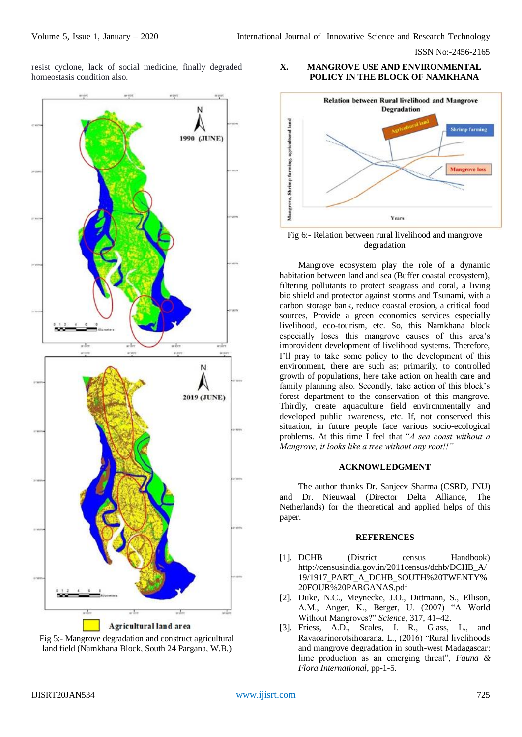ISSN No:-2456-2165

resist cyclone, lack of social medicine, finally degraded homeostasis condition also.





## **X. MANGROVE USE AND ENVIRONMENTAL POLICY IN THE BLOCK OF NAMKHANA**



Fig 6:- Relation between rural livelihood and mangrove degradation

Mangrove ecosystem play the role of a dynamic habitation between land and sea (Buffer coastal ecosystem), filtering pollutants to protect seagrass and coral, a living bio shield and protector against storms and Tsunami, with a carbon storage bank, reduce coastal erosion, a critical food sources, Provide a green economics services especially livelihood, eco-tourism, etc. So, this Namkhana block especially loses this mangrove causes of this area's improvident development of livelihood systems. Therefore, I'll pray to take some policy to the development of this environment, there are such as; primarily, to controlled growth of populations, here take action on health care and family planning also. Secondly, take action of this block's forest department to the conservation of this mangrove. Thirdly, create aquaculture field environmentally and developed public awareness, etc. If, not conserved this situation, in future people face various socio-ecological problems. At this time I feel that *"A sea coast without a Mangrove, it looks like a tree without any root!!"* 

#### **ACKNOWLEDGMENT**

The author thanks Dr. Sanjeev Sharma (CSRD, JNU) and Dr. Nieuwaal (Director Delta Alliance, The Netherlands) for the theoretical and applied helps of this paper.

## **REFERENCES**

- [1]. DCHB (District census Handbook) [http://censusindia.gov.in/2011census/dchb/DCHB\\_A/](http://censusindia.gov.in/2011census/dchb/DCHB_A/19/1917_PART_A_DCHB_SOUTH%20TWENTY%20FOUR%20PARGANAS.pdf) [19/1917\\_PART\\_A\\_DCHB\\_SOUTH%20TWENTY%](http://censusindia.gov.in/2011census/dchb/DCHB_A/19/1917_PART_A_DCHB_SOUTH%20TWENTY%20FOUR%20PARGANAS.pdf) [20FOUR%20PARGANAS.pdf](http://censusindia.gov.in/2011census/dchb/DCHB_A/19/1917_PART_A_DCHB_SOUTH%20TWENTY%20FOUR%20PARGANAS.pdf)
- [2]. Duke, N.C., Meynecke, J.O., Dittmann, S., Ellison, A.M., Anger, K., Berger, U. (2007) "A World Without Mangroves?" *Science*, 317, 41–42.
- [3]. Friess, A.D., Scales, I. R., Glass, L., and Ravaoarinorotsihoarana, L., (2016) "Rural livelihoods and mangrove degradation in south-west Madagascar: lime production as an emerging threat", *Fauna & Flora International*, pp-1-5.